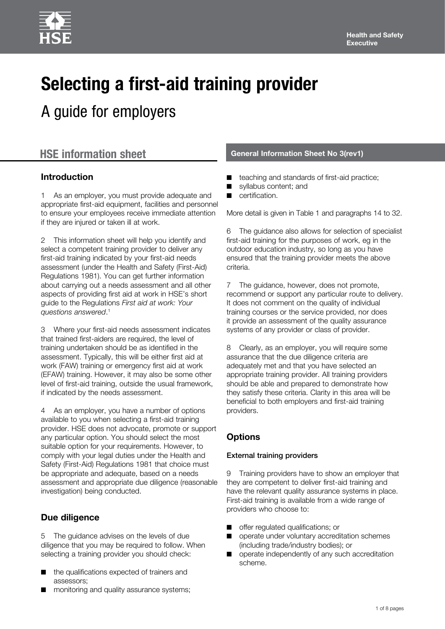# **Selecting a first-aid training provider**

A guide for employers

### **Introduction**

1 As an employer, you must provide adequate and appropriate first-aid equipment, facilities and personnel to ensure your employees receive immediate attention if they are injured or taken ill at work.

2 This information sheet will help you identify and select a competent training provider to deliver any first-aid training indicated by your first-aid needs assessment (under the Health and Safety (First-Aid) Regulations 1981). You can get further information about carrying out a needs assessment and all other aspects of providing first aid at work in HSE's short guide to the Regulations *First aid at work: Your questions answered*. 1

3 Where your first-aid needs assessment indicates that trained first-aiders are required, the level of training undertaken should be as identified in the assessment. Typically, this will be either first aid at work (FAW) training or emergency first aid at work (EFAW) training. However, it may also be some other level of first-aid training, outside the usual framework, if indicated by the needs assessment.

As an employer, you have a number of options available to you when selecting a first-aid training provider. HSE does not advocate, promote or support any particular option. You should select the most suitable option for your requirements. However, to comply with your legal duties under the Health and Safety (First-Aid) Regulations 1981 that choice must be appropriate and adequate, based on a needs assessment and appropriate due diligence (reasonable investigation) being conducted.

## **Due diligence**

5 The guidance advises on the levels of due diligence that you may be required to follow. When selecting a training provider you should check:

- the qualifications expected of trainers and assessors;
- monitoring and quality assurance systems;

# **HSE information sheet General Information Sheet No 3(rev1)**

- teaching and standards of first-aid practice;
- syllabus content; and
- certification.

More detail is given in Table 1 and paragraphs 14 to 32.

6 The guidance also allows for selection of specialist first-aid training for the purposes of work, eg in the outdoor education industry, so long as you have ensured that the training provider meets the above criteria.

7 The guidance, however, does not promote, recommend or support any particular route to delivery. It does not comment on the quality of individual training courses or the service provided, nor does it provide an assessment of the quality assurance systems of any provider or class of provider.

8 Clearly, as an employer, you will require some assurance that the due diligence criteria are adequately met and that you have selected an appropriate training provider. All training providers should be able and prepared to demonstrate how they satisfy these criteria. Clarity in this area will be beneficial to both employers and first-aid training providers.

# **Options**

#### External training providers

9 Training providers have to show an employer that they are competent to deliver first-aid training and have the relevant quality assurance systems in place. First-aid training is available from a wide range of providers who choose to:

- offer regulated qualifications; or
- operate under voluntary accreditation schemes (including trade/industry bodies); or
- operate independently of any such accreditation scheme.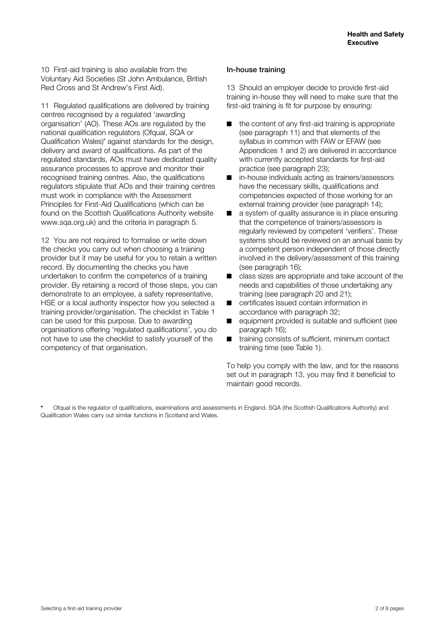10 First-aid training is also available from the Voluntary Aid Societies (St John Ambulance, British Red Cross and St Andrew's First Aid).

11 Regulated qualifications are delivered by training centres recognised by a regulated 'awarding organisation' (AO). These AOs are regulated by the national qualification regulators (Ofqual, SQA or Qualification Wales)**\*** against standards for the design, delivery and award of qualifications. As part of the regulated standards, AOs must have dedicated quality assurance processes to approve and monitor their recognised training centres. Also, the qualifications regulators stipulate that AOs and their training centres must work in compliance with the Assessment Principles for First-Aid Qualifications (which can be found on the Scottish Qualifications Authority website [www.sqa.org.uk\)](www.sqa.org.uk) and the criteria in paragraph 5.

12 You are not required to formalise or write down the checks you carry out when choosing a training provider but it may be useful for you to retain a written record. By documenting the checks you have undertaken to confirm the competence of a training provider. By retaining a record of those steps, you can demonstrate to an employee, a safety representative, HSE or a local authority inspector how you selected a training provider/organisation. The checklist in Table 1 can be used for this purpose. Due to awarding organisations offering 'regulated qualifications', you do not have to use the checklist to satisfy yourself of the competency of that organisation.

#### In-house training

13 Should an employer decide to provide first-aid training in-house they will need to make sure that the first-aid training is fit for purpose by ensuring:

- the content of any first-aid training is appropriate (see paragraph 11) and that elements of the syllabus in common with FAW or EFAW (see Appendices 1 and 2) are delivered in accordance with currently accepted standards for first-aid practice (see paragraph 23);
- in-house individuals acting as trainers/assessors have the necessary skills, qualifications and competencies expected of those working for an external training provider (see paragraph 14);
- a system of quality assurance is in place ensuring that the competence of trainers/assessors is regularly reviewed by competent 'verifiers'. These systems should be reviewed on an annual basis by a competent person independent of those directly involved in the delivery/assessment of this training (see paragraph 16);
- class sizes are appropriate and take account of the needs and capabilities of those undertaking any training (see paragraph 20 and 21);
- certificates issued contain information in accordance with paragraph 32;
- equipment provided is suitable and sufficient (see paragraph 16);
- training consists of sufficient, minimum contact training time (see Table 1).

To help you comply with the law, and for the reasons set out in paragraph 13, you may find it beneficial to maintain good records.

**\*** Ofqual is the regulator of qualifications, examinations and assessments in England. SQA (the Scottish Qualifications Authority) and Qualification Wales carry out similar functions in Scotland and Wales.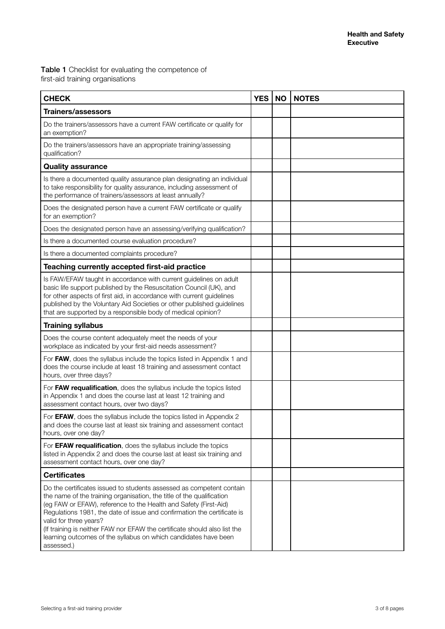Table 1 Checklist for evaluating the competence of first-aid training organisations

| <b>CHECK</b>                                                                                                                                                                                                                                                                                                                                                                                                                                                                         | <b>YES</b> | <b>NO</b> | <b>NOTES</b> |
|--------------------------------------------------------------------------------------------------------------------------------------------------------------------------------------------------------------------------------------------------------------------------------------------------------------------------------------------------------------------------------------------------------------------------------------------------------------------------------------|------------|-----------|--------------|
| <b>Trainers/assessors</b>                                                                                                                                                                                                                                                                                                                                                                                                                                                            |            |           |              |
| Do the trainers/assessors have a current FAW certificate or qualify for<br>an exemption?                                                                                                                                                                                                                                                                                                                                                                                             |            |           |              |
| Do the trainers/assessors have an appropriate training/assessing<br>qualification?                                                                                                                                                                                                                                                                                                                                                                                                   |            |           |              |
| <b>Quality assurance</b>                                                                                                                                                                                                                                                                                                                                                                                                                                                             |            |           |              |
| Is there a documented quality assurance plan designating an individual<br>to take responsibility for quality assurance, including assessment of<br>the performance of trainers/assessors at least annually?                                                                                                                                                                                                                                                                          |            |           |              |
| Does the designated person have a current FAW certificate or qualify<br>for an exemption?                                                                                                                                                                                                                                                                                                                                                                                            |            |           |              |
| Does the designated person have an assessing/verifying qualification?                                                                                                                                                                                                                                                                                                                                                                                                                |            |           |              |
| Is there a documented course evaluation procedure?                                                                                                                                                                                                                                                                                                                                                                                                                                   |            |           |              |
| Is there a documented complaints procedure?                                                                                                                                                                                                                                                                                                                                                                                                                                          |            |           |              |
| Teaching currently accepted first-aid practice                                                                                                                                                                                                                                                                                                                                                                                                                                       |            |           |              |
| Is FAW/EFAW taught in accordance with current guidelines on adult<br>basic life support published by the Resuscitation Council (UK), and<br>for other aspects of first aid, in accordance with current guidelines<br>published by the Voluntary Aid Societies or other published guidelines<br>that are supported by a responsible body of medical opinion?                                                                                                                          |            |           |              |
| <b>Training syllabus</b>                                                                                                                                                                                                                                                                                                                                                                                                                                                             |            |           |              |
| Does the course content adequately meet the needs of your<br>workplace as indicated by your first-aid needs assessment?                                                                                                                                                                                                                                                                                                                                                              |            |           |              |
| For FAW, does the syllabus include the topics listed in Appendix 1 and<br>does the course include at least 18 training and assessment contact<br>hours, over three days?                                                                                                                                                                                                                                                                                                             |            |           |              |
| For FAW requalification, does the syllabus include the topics listed<br>in Appendix 1 and does the course last at least 12 training and<br>assessment contact hours, over two days?                                                                                                                                                                                                                                                                                                  |            |           |              |
| For EFAW, does the syllabus include the topics listed in Appendix 2<br>and does the course last at least six training and assessment contact<br>hours, over one day?                                                                                                                                                                                                                                                                                                                 |            |           |              |
| For EFAW requalification, does the syllabus include the topics<br>listed in Appendix 2 and does the course last at least six training and<br>assessment contact hours, over one day?                                                                                                                                                                                                                                                                                                 |            |           |              |
| <b>Certificates</b>                                                                                                                                                                                                                                                                                                                                                                                                                                                                  |            |           |              |
| Do the certificates issued to students assessed as competent contain<br>the name of the training organisation, the title of the qualification<br>(eg FAW or EFAW), reference to the Health and Safety (First-Aid)<br>Regulations 1981, the date of issue and confirmation the certificate is<br>valid for three years?<br>(If training is neither FAW nor EFAW the certificate should also list the<br>learning outcomes of the syllabus on which candidates have been<br>assessed.) |            |           |              |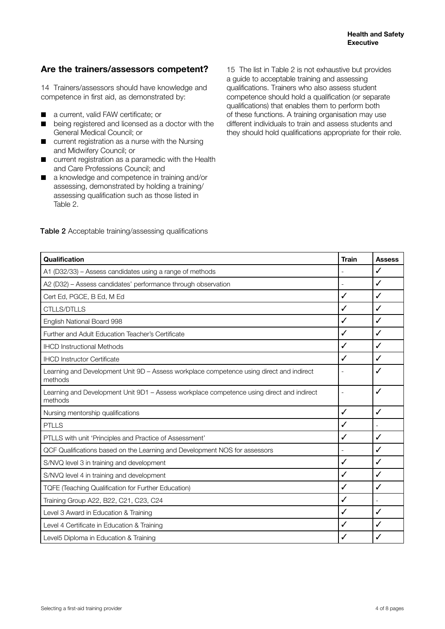#### **Are the trainers/assessors competent?**

14 Trainers/assessors should have knowledge and competence in first aid, as demonstrated by:

- a current, valid FAW certificate; or
- being registered and licensed as a doctor with the General Medical Council; or
- current registration as a nurse with the Nursing and Midwifery Council; or
- current registration as a paramedic with the Health and Care Professions Council; and
- a knowledge and competence in training and/or assessing, demonstrated by holding a training/ assessing qualification such as those listed in Table 2.

15 The list in Table 2 is not exhaustive but provides a guide to acceptable training and assessing qualifications. Trainers who also assess student competence should hold a qualification (or separate qualifications) that enables them to perform both of these functions. A training organisation may use different individuals to train and assess students and they should hold qualifications appropriate for their role.

| Qualification                                                                                        | <b>Train</b>             | <b>Assess</b> |
|------------------------------------------------------------------------------------------------------|--------------------------|---------------|
| A1 (D32/33) - Assess candidates using a range of methods                                             |                          | ✓             |
| A2 (D32) - Assess candidates' performance through observation                                        | $\blacksquare$           | ✓             |
| Cert Ed, PGCE, B Ed, M Ed                                                                            | ✓                        | ✓             |
| <b>CTLLS/DTLLS</b>                                                                                   | ✓                        | ✓             |
| English National Board 998                                                                           | ✓                        | ✓             |
| Further and Adult Education Teacher's Certificate                                                    | ✓                        | ✓             |
| <b>IHCD Instructional Methods</b>                                                                    | ✓                        | ✓             |
| <b>IHCD Instructor Certificate</b>                                                                   | ✓                        | ✓             |
| Learning and Development Unit 9D - Assess workplace competence using direct and indirect<br>methods  |                          | ✓             |
| Learning and Development Unit 9D1 - Assess workplace competence using direct and indirect<br>methods |                          | ✓             |
| Nursing mentorship qualifications                                                                    | ✓                        | ✓             |
| PTLLS                                                                                                | ✓                        |               |
| PTLLS with unit 'Principles and Practice of Assessment'                                              | ✓                        | ✓             |
| QCF Qualifications based on the Learning and Development NOS for assessors                           | $\overline{\phantom{a}}$ | ✓             |
| S/NVQ level 3 in training and development                                                            | ✓                        | ✓             |
| S/NVQ level 4 in training and development                                                            | ✓                        | ✓             |
| <b>TQFE (Teaching Qualification for Further Education)</b>                                           | $\checkmark$             | ✓             |
| Training Group A22, B22, C21, C23, C24                                                               | ✓                        |               |
| Level 3 Award in Education & Training                                                                | ✓                        | ✓             |
| Level 4 Certificate in Education & Training                                                          | ✓                        | ✓             |
| Level5 Diploma in Education & Training                                                               | ✓                        | ✓             |

#### Table 2 Acceptable training/assessing qualifications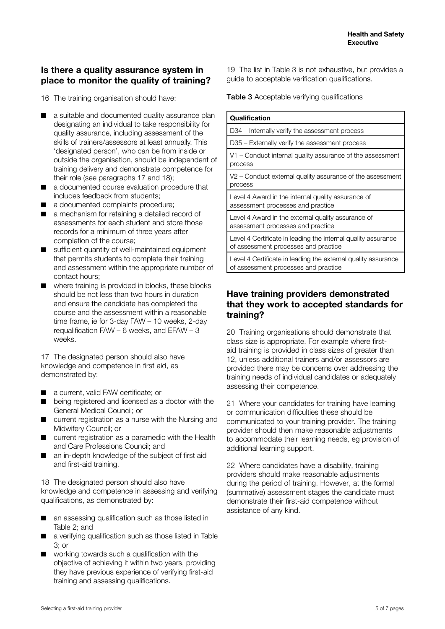#### **Is there a quality assurance system in place to monitor the quality of training?**

16 The training organisation should have:

- a suitable and documented quality assurance plan designating an individual to take responsibility for quality assurance, including assessment of the skills of trainers/assessors at least annually. This 'designated person', who can be from inside or outside the organisation, should be independent of training delivery and demonstrate competence for their role (see paragraphs 17 and 18);
- a documented course evaluation procedure that includes feedback from students;
- a documented complaints procedure;
- a mechanism for retaining a detailed record of assessments for each student and store those records for a minimum of three years after completion of the course;
- sufficient quantity of well-maintained equipment that permits students to complete their training and assessment within the appropriate number of contact hours;
- where training is provided in blocks, these blocks should be not less than two hours in duration and ensure the candidate has completed the course and the assessment within a reasonable time frame, ie for 3-day FAW – 10 weeks, 2-day requalification FAW – 6 weeks, and EFAW – 3 weeks.

17 The designated person should also have knowledge and competence in first aid, as demonstrated by:

- a current, valid FAW certificate; or
- being registered and licensed as a doctor with the General Medical Council; or
- current registration as a nurse with the Nursing and Midwifery Council; or
- current registration as a paramedic with the Health and Care Professions Council; and
- an in-depth knowledge of the subject of first aid and first-aid training.

18 The designated person should also have knowledge and competence in assessing and verifying qualifications, as demonstrated by:

- an assessing qualification such as those listed in Table 2; and
- a verifying qualification such as those listed in Table 3; or
- working towards such a qualification with the objective of achieving it within two years, providing they have previous experience of verifying first-aid training and assessing qualifications.

19 The list in Table 3 is not exhaustive, but provides a guide to acceptable verification qualifications.

Table 3 Acceptable verifying qualifications

| Qualification                                                                                         |
|-------------------------------------------------------------------------------------------------------|
| D34 – Internally verify the assessment process                                                        |
| D35 – Externally verify the assessment process                                                        |
| V1 – Conduct internal quality assurance of the assessment<br>process                                  |
| V2 – Conduct external quality assurance of the assessment<br>process                                  |
| Level 4 Award in the internal quality assurance of<br>assessment processes and practice               |
| Level 4 Award in the external quality assurance of<br>assessment processes and practice               |
| Level 4 Certificate in leading the internal quality assurance<br>of assessment processes and practice |
| Level 4 Certificate in leading the external quality assurance<br>of assessment processes and practice |

#### **Have training providers demonstrated that they work to accepted standards for training?**

20 Training organisations should demonstrate that class size is appropriate. For example where firstaid training is provided in class sizes of greater than 12, unless additional trainers and/or assessors are provided there may be concerns over addressing the training needs of individual candidates or adequately assessing their competence.

21 Where your candidates for training have learning or communication difficulties these should be communicated to your training provider. The training provider should then make reasonable adjustments to accommodate their learning needs, eg provision of additional learning support.

22 Where candidates have a disability, training providers should make reasonable adjustments during the period of training. However, at the formal (summative) assessment stages the candidate must demonstrate their first-aid competence without assistance of any kind.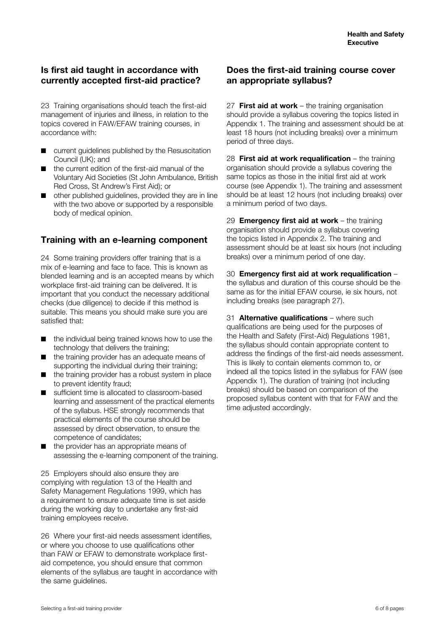#### **Is first aid taught in accordance with currently accepted first-aid practice?**

23 Training organisations should teach the first-aid management of injuries and illness, in relation to the topics covered in FAW/EFAW training courses, in accordance with:

- current guidelines published by the Resuscitation Council (UK); and
- the current edition of the first-aid manual of the Voluntary Aid Societies (St John Ambulance, British Red Cross, St Andrew's First Aid); or
- other published guidelines, provided they are in line with the two above or supported by a responsible body of medical opinion.

#### **Training with an e-learning component**

24 Some training providers offer training that is a mix of e-learning and face to face. This is known as blended learning and is an accepted means by which workplace first-aid training can be delivered. It is important that you conduct the necessary additional checks (due diligence) to decide if this method is suitable. This means you should make sure you are satisfied that:

- the individual being trained knows how to use the technology that delivers the training;
- the training provider has an adequate means of supporting the individual during their training;
- the training provider has a robust system in place to prevent identity fraud;
- sufficient time is allocated to classroom-based learning and assessment of the practical elements of the syllabus. HSE strongly recommends that practical elements of the course should be assessed by direct observation, to ensure the competence of candidates;
- the provider has an appropriate means of assessing the e-learning component of the training.

25 Employers should also ensure they are complying with regulation 13 of the Health and Safety Management Regulations 1999, which has a requirement to ensure adequate time is set aside during the working day to undertake any first-aid training employees receive.

26 Where your first-aid needs assessment identifies, or where you choose to use qualifications other than FAW or EFAW to demonstrate workplace firstaid competence, you should ensure that common elements of the syllabus are taught in accordance with the same guidelines.

#### **Does the first-aid training course cover an appropriate syllabus?**

27 **First aid at work** – the training organisation should provide a syllabus covering the topics listed in Appendix 1. The training and assessment should be at least 18 hours (not including breaks) over a minimum period of three days.

28 **First aid at work requalification** – the training organisation should provide a syllabus covering the same topics as those in the initial first aid at work course (see Appendix 1). The training and assessment should be at least 12 hours (not including breaks) over a minimum period of two days.

29 **Emergency first aid at work** – the training organisation should provide a syllabus covering the topics listed in Appendix 2. The training and assessment should be at least six hours (not including breaks) over a minimum period of one day.

30 **Emergency first aid at work requalification** – the syllabus and duration of this course should be the same as for the initial EFAW course, ie six hours, not including breaks (see paragraph 27).

31 **Alternative qualifications** – where such qualifications are being used for the purposes of the Health and Safety (First-Aid) Regulations 1981, the syllabus should contain appropriate content to address the findings of the first-aid needs assessment. This is likely to contain elements common to, or indeed all the topics listed in the syllabus for FAW (see Appendix 1). The duration of training (not including breaks) should be based on comparison of the proposed syllabus content with that for FAW and the time adjusted accordingly.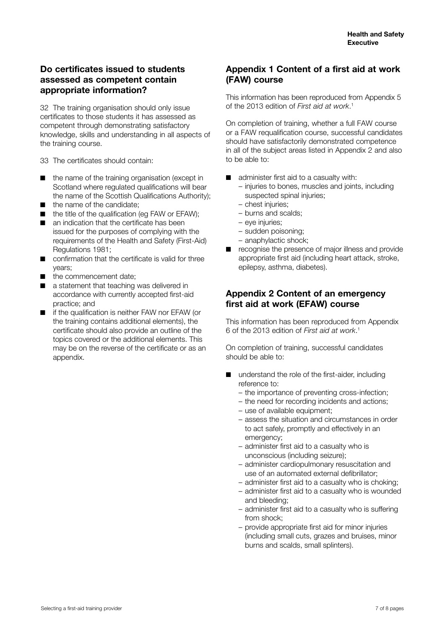#### **Do certificates issued to students assessed as competent contain appropriate information?**

32 The training organisation should only issue certificates to those students it has assessed as competent through demonstrating satisfactory knowledge, skills and understanding in all aspects of the training course.

33 The certificates should contain:

- the name of the training organisation (except in Scotland where regulated qualifications will bear the name of the Scottish Qualifications Authority);
- the name of the candidate:
- the title of the qualification (eq FAW or EFAW);
- an indication that the certificate has been issued for the purposes of complying with the requirements of the Health and Safety (First-Aid) Regulations 1981;
- confirmation that the certificate is valid for three years;
- the commencement date:
- a statement that teaching was delivered in accordance with currently accepted first-aid practice; and
- if the qualification is neither FAW nor EFAW (or the training contains additional elements), the certificate should also provide an outline of the topics covered or the additional elements. This may be on the reverse of the certificate or as an appendix.

#### **Appendix 1 Content of a first aid at work (FAW) course**

This information has been reproduced from Appendix 5 of the 2013 edition of *First aid at work*. 1

On completion of training, whether a full FAW course or a FAW requalification course, successful candidates should have satisfactorily demonstrated competence in all of the subject areas listed in Appendix 2 and also to be able to:

- administer first aid to a casualty with:
	- injuries to bones, muscles and joints, including suspected spinal injuries;
	- chest injuries;
	- burns and scalds;
	- eye injuries;
	- sudden poisoning;
	- anaphylactic shock;
- recognise the presence of major illness and provide appropriate first aid (including heart attack, stroke, epilepsy, asthma, diabetes).

#### **Appendix 2 Content of an emergency first aid at work (EFAW) course**

This information has been reproduced from Appendix 6 of the 2013 edition of *First aid at work*. 1

On completion of training, successful candidates should be able to:

- understand the role of the first-aider, including reference to:
	- the importance of preventing cross-infection;
	- the need for recording incidents and actions;
	- use of available equipment;
	- assess the situation and circumstances in order to act safely, promptly and effectively in an emergency;
	- administer first aid to a casualty who is unconscious (including seizure);
	- administer cardiopulmonary resuscitation and use of an automated external defibrillator;
	- administer first aid to a casualty who is choking;
	- administer first aid to a casualty who is wounded and bleeding;
	- administer first aid to a casualty who is suffering from shock;
	- provide appropriate first aid for minor injuries (including small cuts, grazes and bruises, minor burns and scalds, small splinters).